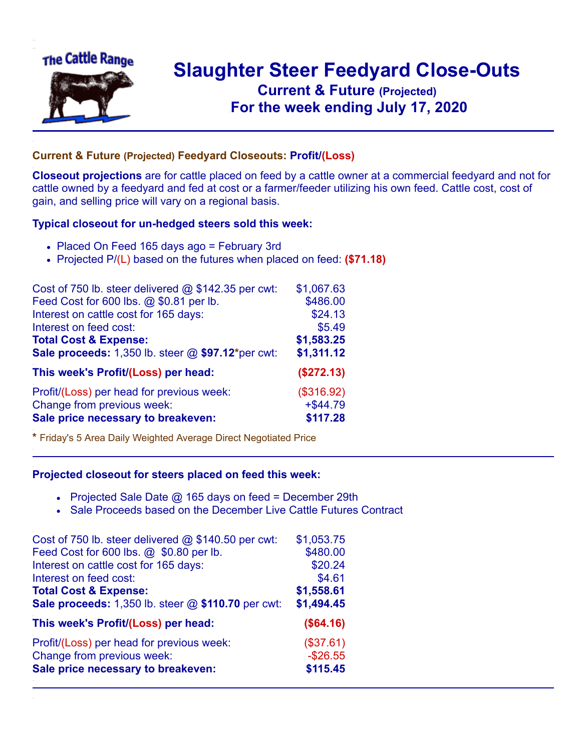

## **Slaughter Steer Feedyard Close-Outs Current & Future (Projected)** .**For the week ending July 17, 2020**

## **Current & Future (Projected) Feedyard Closeouts: Profit/(Loss)**

**Closeout projections** are for cattle placed on feed by a cattle owner at a commercial feedyard and not for cattle owned by a feedyard and fed at cost or a farmer/feeder utilizing his own feed. Cattle cost, cost of gain, and selling price will vary on a regional basis.

## **Typical closeout for un-hedged steers sold this week:**

- Placed On Feed 165 days ago = February 3rd
- Projected P/(L) based on the futures when placed on feed: **(\$71.18)**

| Cost of 750 lb. steer delivered @ \$142.35 per cwt: | \$1,067.63  |
|-----------------------------------------------------|-------------|
| Feed Cost for 600 lbs. @ \$0.81 per lb.             | \$486.00    |
| Interest on cattle cost for 165 days:               | \$24.13     |
| Interest on feed cost:                              | \$5.49      |
| <b>Total Cost &amp; Expense:</b>                    | \$1,583.25  |
| Sale proceeds: 1,350 lb. steer @ \$97.12*per cwt:   | \$1,311.12  |
| This week's Profit/(Loss) per head:                 | (\$272.13)  |
| Profit/(Loss) per head for previous week:           | (\$316.92)  |
| Change from previous week:                          | $+$ \$44.79 |
| Sale price necessary to breakeven:                  | \$117.28    |

**\*** Friday's 5 Area Daily Weighted Average Direct Negotiated Price

## **Projected closeout for steers placed on feed this week:**

- Projected Sale Date @ 165 days on feed = December 29th
- Sale Proceeds based on the December Live Cattle Futures Contract

| Cost of 750 lb. steer delivered @ \$140.50 per cwt: | \$1,053.75 |
|-----------------------------------------------------|------------|
| Feed Cost for 600 lbs. @ \$0.80 per lb.             | \$480.00   |
| Interest on cattle cost for 165 days:               | \$20.24    |
| Interest on feed cost:                              | \$4.61     |
| <b>Total Cost &amp; Expense:</b>                    | \$1,558.61 |
| Sale proceeds: 1,350 lb. steer @ \$110.70 per cwt:  | \$1,494.45 |
| This week's Profit/(Loss) per head:                 | (\$64.16)  |
| Profit/(Loss) per head for previous week:           | (\$37.61)  |
| Change from previous week:                          | $-$26.55$  |
| Sale price necessary to breakeven:                  | \$115.45   |